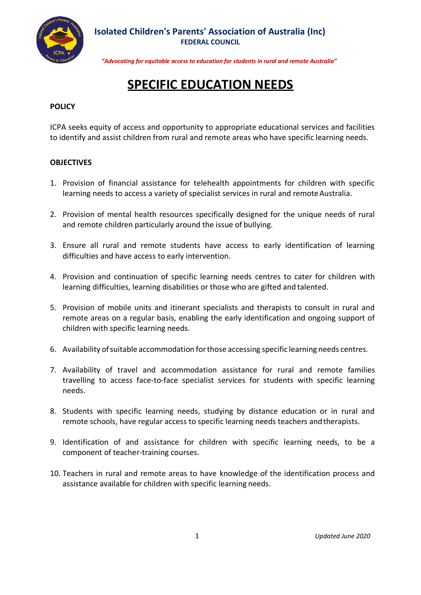

*"Advocating for equitable access to education for students in rural and remote Australia"*

## **SPECIFIC EDUCATION NEEDS**

## **POLICY**

ICPA seeks equity of access and opportunity to appropriate educational services and facilities to identify and assist children from rural and remote areas who have specific learning needs.

## **OBJECTIVES**

- 1. Provision of financial assistance for telehealth appointments for children with specific learning needs to access a variety of specialist services in rural and remote Australia.
- 2. Provision of mental health resources specifically designed for the unique needs of rural and remote children particularly around the issue of bullying.
- 3. Ensure all rural and remote students have access to early identification of learning difficulties and have access to early intervention.
- 4. Provision and continuation of specific learning needs centres to cater for children with learning difficulties, learning disabilities or those who are gifted and talented.
- 5. Provision of mobile units and itinerant specialists and therapists to consult in rural and remote areas on a regular basis, enabling the early identification and ongoing support of children with specific learning needs.
- 6. Availability ofsuitable accommodation forthose accessing specific learning needs centres.
- 7. Availability of travel and accommodation assistance for rural and remote families travelling to access face-to-face specialist services for students with specific learning needs.
- 8. Students with specific learning needs, studying by distance education or in rural and remote schools, have regular access to specific learning needs teachers andtherapists.
- 9. Identification of and assistance for children with specific learning needs, to be a component of teacher-training courses.
- 10. Teachers in rural and remote areas to have knowledge of the identification process and assistance available for children with specific learning needs.